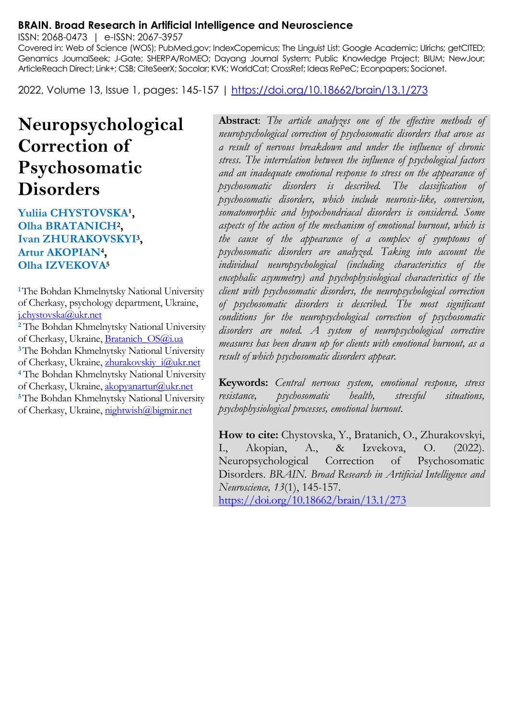#### **BRAIN. Broad Research in Artificial Intelligence and Neuroscience**

ISSN: 2068-0473 | e-ISSN: 2067-3957

Covered in: Web of Science (WOS); PubMed.gov; IndexCopernicus; The Linguist List; Google Academic; Ulrichs; getCITED; Genamics JournalSeek; J-Gate; SHERPA/RoMEO; Dayang Journal System; Public Knowledge Project; BIUM; NewJour; ArticleReach Direct; Link+; CSB; CiteSeerX; Socolar; KVK; WorldCat; CrossRef; Ideas RePeC; Econpapers; Socionet.

2022, Volume 13, Issue 1, pages: 145-157 |<https://doi.org/10.18662/brain/13.1/273>

# **Neuropsychological Correction of Psychosomatic Disorders**

#### Yuliia CHYSTOVSKA<sup>1</sup>, **Olha BRATANICH<sup>2</sup> , Ivan ZHURAKOVSKYI<sup>3</sup> , Artur AKOPIAN<sup>4</sup> , Olha IZVEKOVA<sup>5</sup>**

**<sup>1</sup>**The Bohdan Khmelnytsky National University of Cherkasy, psychology department, Ukraine, [j.chystovska@ukr.net](mailto:j.chystovska@ukr.net)

**<sup>2</sup>** The Bohdan Khmelnytsky National University of Cherkasy, Ukraine, Bratanich OS@i.ua **<sup>3</sup>**The Bohdan Khmelnytsky National University of Cherkasy, Ukraine, zhurakovskiy\_i@ukr.net **<sup>4</sup>** The Bohdan Khmelnytsky National University of Cherkasy, Ukraine, [akopyanartur@ukr.net](mailto:akopyanartur@ukr.net) **<sup>5</sup>**The Bohdan Khmelnytsky National University of Cherkasy, Ukraine, [nightwish@bigmir.net](mailto:nightwish@bigmir.net) 

**Abstract**: *The article analyzes one of the effective methods of neuropsychological correction of psychosomatic disorders that arose as a result of nervous breakdown and under the influence of chronic stress. The interrelation between the influence of psychological factors and an inadequate emotional response to stress on the appearance of psychosomatic disorders is described. The classification of psychosomatic disorders, which include neurosis-like, conversion, somatomorphic and hypochondriacal disorders is considered. Some aspects of the action of the mechanism of emotional burnout, which is the cause of the appearance of a complex of symptoms of psychosomatic disorders are analyzed. Taking into account the individual neuropsychological (including characteristics of the encephalic asymmetry) and psychophysiological characteristics of the client with psychosomatic disorders, the neuropsychological correction of psychosomatic disorders is described. The most significant conditions for the neuropsychological correction of psychosomatic disorders are noted. A system of neuropsychological corrective measures has been drawn up for clients with emotional burnout, as a result of which psychosomatic disorders appear.*

**Keywords:** *Central nervous system, emotional response, stress resistance, psychosomatic health, stressful situations, psychophysiological processes, emotional burnout.*

**How to cite:** Chystovska, Y., Bratanich, O., Zhurakovskyi, I., Akopian, A., & Izvekova, O. (2022). Neuropsychological Correction of Psychosomatic Disorders. *BRAIN. Broad Research in Artificial Intelligence and Neuroscience, 13*(1), 145-157. <https://doi.org/10.18662/brain/13.1/273>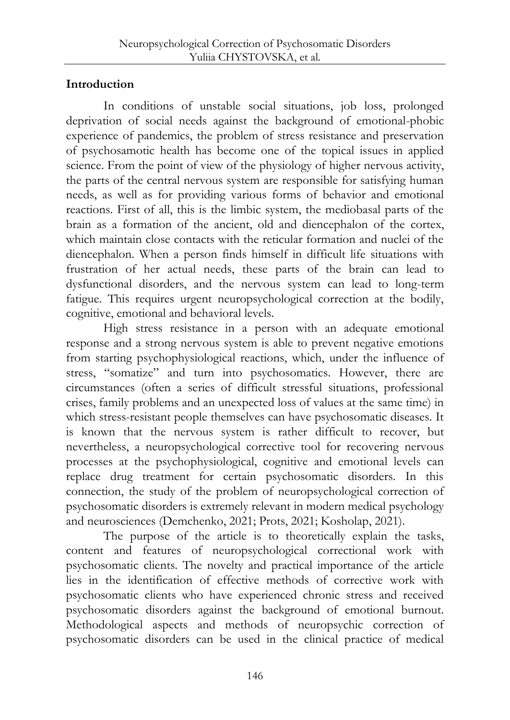# **Introduction**

In conditions of unstable social situations, job loss, prolonged deprivation of social needs against the background of emotional-phobic experience of pandemics, the problem of stress resistance and preservation of psychosamotic health has become one of the topical issues in applied science. From the point of view of the physiology of higher nervous activity, the parts of the central nervous system are responsible for satisfying human needs, as well as for providing various forms of behavior and emotional reactions. First of all, this is the limbic system, the mediobasal parts of the brain as a formation of the ancient, old and diencephalon of the cortex, which maintain close contacts with the reticular formation and nuclei of the diencephalon. When a person finds himself in difficult life situations with frustration of her actual needs, these parts of the brain can lead to dysfunctional disorders, and the nervous system can lead to long-term fatigue. This requires urgent neuropsychological correction at the bodily, cognitive, emotional and behavioral levels.

High stress resistance in a person with an adequate emotional response and a strong nervous system is able to prevent negative emotions from starting psychophysiological reactions, which, under the influence of stress, "somatize" and turn into psychosomatics. However, there are circumstances (often a series of difficult stressful situations, professional crises, family problems and an unexpected loss of values at the same time) in which stress-resistant people themselves can have psychosomatic diseases. It is known that the nervous system is rather difficult to recover, but nevertheless, a neuropsychological corrective tool for recovering nervous processes at the psychophysiological, cognitive and emotional levels can replace drug treatment for certain psychosomatic disorders. In this connection, the study of the problem of neuropsychological correction of psychosomatic disorders is extremely relevant in modern medical psychology and neurosciences (Demchenko, 2021; Prots, 2021; Kosholap, 2021).

The purpose of the article is to theoretically explain the tasks, content and features of neuropsychological correctional work with psychosomatic clients. The novelty and practical importance of the article lies in the identification of effective methods of corrective work with psychosomatic clients who have experienced chronic stress and received psychosomatic disorders against the background of emotional burnout. Methodological aspects and methods of neuropsychic correction of psychosomatic disorders can be used in the clinical practice of medical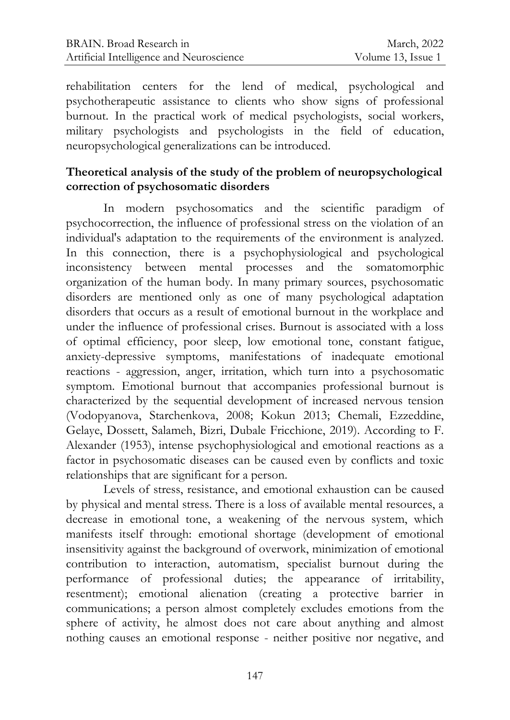rehabilitation centers for the lend of medical, psychological and psychotherapeutic assistance to clients who show signs of professional burnout. In the practical work of medical psychologists, social workers, military psychologists and psychologists in the field of education, neuropsychological generalizations can be introduced.

### **Theoretical analysis of the study of the problem of neuropsychological correction of psychosomatic disorders**

In modern psychosomatics and the scientific paradigm of psychocorrection, the influence of professional stress on the violation of an individual's adaptation to the requirements of the environment is analyzed. In this connection, there is a psychophysiological and psychological inconsistency between mental processes and the somatomorphic organization of the human body. In many primary sources, psychosomatic disorders are mentioned only as one of many psychological adaptation disorders that occurs as a result of emotional burnout in the workplace and under the influence of professional crises. Burnout is associated with a loss of optimal efficiency, poor sleep, low emotional tone, constant fatigue, anxiety-depressive symptoms, manifestations of inadequate emotional reactions - aggression, anger, irritation, which turn into a psychosomatic symptom. Emotional burnout that accompanies professional burnout is characterized by the sequential development of increased nervous tension (Vodopyanova, Starchenkova, 2008; Kokun 2013; Chemali, Ezzeddine, Gelaye, Dossett, Salameh, Bizri, Dubale Fricchione, 2019). According to F. Alexander (1953), intense psychophysiological and emotional reactions as a factor in psychosomatic diseases can be caused even by conflicts and toxic relationships that are significant for a person.

Levels of stress, resistance, and emotional exhaustion can be caused by physical and mental stress. There is a loss of available mental resources, a decrease in emotional tone, a weakening of the nervous system, which manifests itself through: emotional shortage (development of emotional insensitivity against the background of overwork, minimization of emotional contribution to interaction, automatism, specialist burnout during the performance of professional duties; the appearance of irritability, resentment); emotional alienation (creating a protective barrier in communications; a person almost completely excludes emotions from the sphere of activity, he almost does not care about anything and almost nothing causes an emotional response - neither positive nor negative, and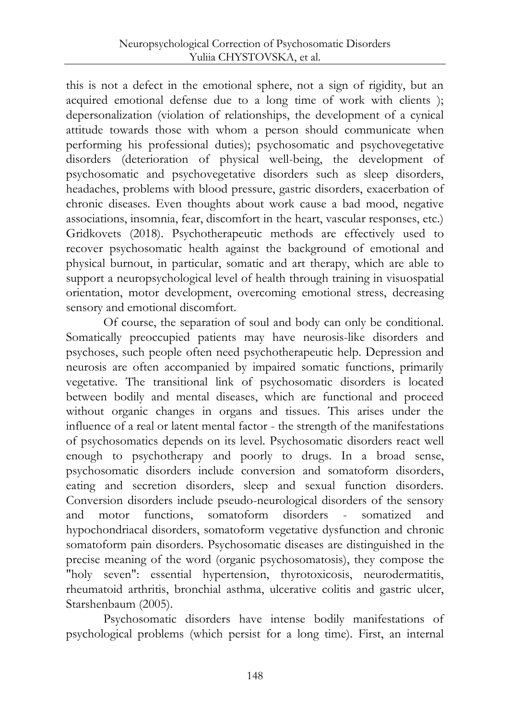this is not a defect in the emotional sphere, not a sign of rigidity, but an acquired emotional defense due to a long time of work with clients ); depersonalization (violation of relationships, the development of a cynical attitude towards those with whom a person should communicate when performing his professional duties); psychosomatic and psychovegetative disorders (deterioration of physical well-being, the development of psychosomatic and psychovegetative disorders such as sleep disorders, headaches, problems with blood pressure, gastric disorders, exacerbation of chronic diseases. Even thoughts about work cause a bad mood, negative associations, insomnia, fear, discomfort in the heart, vascular responses, etc.) Gridkovets (2018). Psychotherapeutic methods are effectively used to recover psychosomatic health against the background of emotional and physical burnout, in particular, somatic and art therapy, which are able to support a neuropsychological level of health through training in visuospatial orientation, motor development, overcoming emotional stress, decreasing sensory and emotional discomfort.

Of course, the separation of soul and body can only be conditional. Somatically preoccupied patients may have neurosis-like disorders and psychoses, such people often need psychotherapeutic help. Depression and neurosis are often accompanied by impaired somatic functions, primarily vegetative. The transitional link of psychosomatic disorders is located between bodily and mental diseases, which are functional and proceed without organic changes in organs and tissues. This arises under the influence of a real or latent mental factor - the strength of the manifestations of psychosomatics depends on its level. Psychosomatic disorders react well enough to psychotherapy and poorly to drugs. In a broad sense, psychosomatic disorders include conversion and somatoform disorders, eating and secretion disorders, sleep and sexual function disorders. Conversion disorders include pseudo-neurological disorders of the sensory and motor functions, somatoform disorders - somatized and hypochondriacal disorders, somatoform vegetative dysfunction and chronic somatoform pain disorders. Psychosomatic diseases are distinguished in the precise meaning of the word (organic psychosomatosis), they compose the "holy seven": essential hypertension, thyrotoxicosis, neurodermatitis, rheumatoid arthritis, bronchial asthma, ulcerative colitis and gastric ulcer, Starshenbaum (2005).

Psychosomatic disorders have intense bodily manifestations of psychological problems (which persist for a long time). First, an internal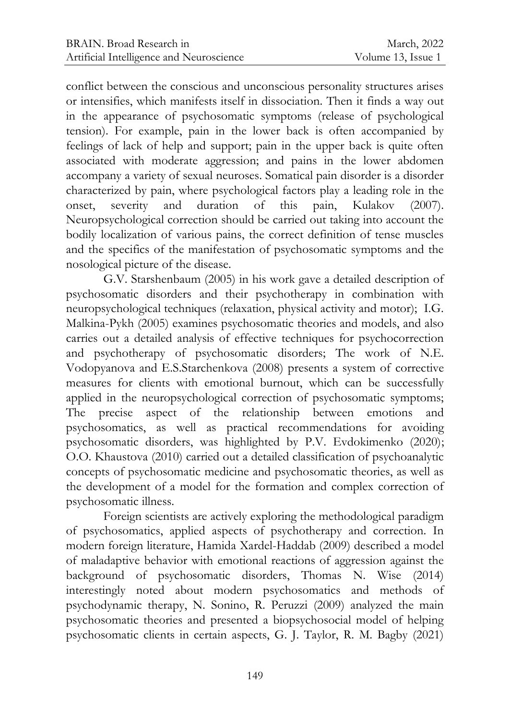conflict between the conscious and unconscious personality structures arises or intensifies, which manifests itself in dissociation. Then it finds a way out in the appearance of psychosomatic symptoms (release of psychological tension). For example, pain in the lower back is often accompanied by feelings of lack of help and support; pain in the upper back is quite often associated with moderate aggression; and pains in the lower abdomen accompany a variety of sexual neuroses. Somatical pain disorder is a disorder characterized by pain, where psychological factors play a leading role in the onset, severity and duration of this pain, Kulakov (2007). Neuropsychological correction should be carried out taking into account the bodily localization of various pains, the correct definition of tense muscles and the specifics of the manifestation of psychosomatic symptoms and the nosological picture of the disease.

G.V. Starshenbaum (2005) in his work gave a detailed description of psychosomatic disorders and their psychotherapy in combination with neuropsychological techniques (relaxation, physical activity and motor); I.G. Malkina-Pykh (2005) examines psychosomatic theories and models, and also carries out a detailed analysis of effective techniques for psychocorrection and psychotherapy of psychosomatic disorders; The work of N.E. Vodopyanova and E.S.Starchenkovа (2008) presents a system of corrective measures for clients with emotional burnout, which can be successfully applied in the neuropsychological correction of psychosomatic symptoms; The precise aspect of the relationship between emotions and psychosomatics, as well as practical recommendations for avoiding psychosomatic disorders, was highlighted by P.V. Evdokimenko (2020); O.O. Khaustova (2010) carried out a detailed classification of psychoanalytic concepts of psychosomatic medicine and psychosomatic theories, as well as the development of a model for the formation and complex correction of psychosomatic illness.

Foreign scientists are actively exploring the methodological paradigm of psychosomatics, applied aspects of psychotherapy and correction. In modern foreign literature, Hamida Xardel-Haddab (2009) described a model of maladaptive behavior with emotional reactions of aggression against the background of psychosomatic disorders, Thomas N. Wise (2014) interestingly noted about modern psychosomatics and methods of psychodynamic therapy, N. Sonino, R. Peruzzi (2009) analyzed the main psychosomatic theories and presented a biopsychosocial model of helping psychosomatic clients in certain aspects, G. J. Taylor, R. M. Bagby (2021)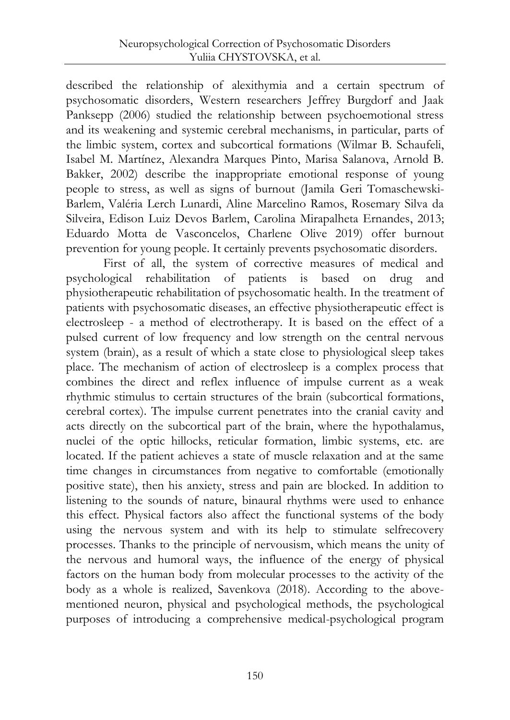described the relationship of alexithymia and a certain spectrum of psychosomatic disorders, Western researchers Jeffrey Burgdorf and Jaak Panksepp (2006) studied the relationship between psychoemotional stress and its weakening and systemic cerebral mechanisms, in particular, parts of the limbic system, cortex and subcortical formations (Wilmar B. Schaufeli, Isabel M. Martínez, Alexandra Marques Pinto, Marisa Salanova, Arnold B. Bakker, 2002) describe the inappropriate emotional response of young people to stress, as well as signs of burnout (Jamila Geri Tomaschewski-Barlem, Valéria Lerch Lunardi, Aline Marcelino Ramos, Rosemary Silva da Silveira, Edison Luiz Devos Barlem, Carolina Mirapalheta Ernandes, 2013; Eduardo Motta de Vasconcelos, Charlene Olive 2019) offer burnout prevention for young people. It certainly prevents psychosomatic disorders.

First of all, the system of corrective measures of medical and psychological rehabilitation of patients is based on drug and physiotherapeutic rehabilitation of psychosomatic health. In the treatment of patients with psychosomatic diseases, an effective physiotherapeutic effect is electrosleep - a method of electrotherapy. It is based on the effect of a pulsed current of low frequency and low strength on the central nervous system (brain), as a result of which a state close to physiological sleep takes place. The mechanism of action of electrosleep is a complex process that combines the direct and reflex influence of impulse current as a weak rhythmic stimulus to certain structures of the brain (subcortical formations, cerebral cortex). The impulse current penetrates into the cranial cavity and acts directly on the subcortical part of the brain, where the hypothalamus, nuclei of the optic hillocks, reticular formation, limbic systems, etc. are located. If the patient achieves a state of muscle relaxation and at the same time changes in circumstances from negative to comfortable (emotionally positive state), then his anxiety, stress and pain are blocked. In addition to listening to the sounds of nature, binaural rhythms were used to enhance this effect. Physical factors also affect the functional systems of the body using the nervous system and with its help to stimulate selfrecovery processes. Thanks to the principle of nervousism, which means the unity of the nervous and humoral ways, the influence of the energy of physical factors on the human body from molecular processes to the activity of the body as a whole is realized, Savenkova (2018). According to the abovementioned neuron, physical and psychological methods, the psychological purposes of introducing a comprehensive medical-psychological program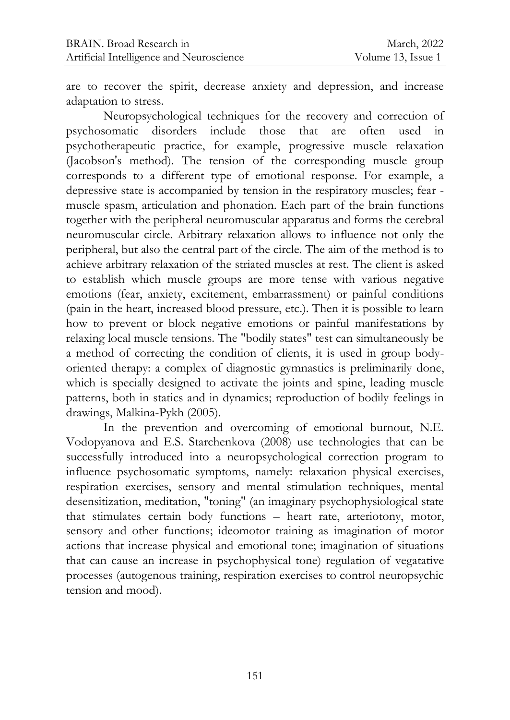are to recover the spirit, decrease anxiety and depression, and increase adaptation to stress.

Neuropsychological techniques for the recovery and correction of psychosomatic disorders include those that are often used in psychotherapeutic practice, for example, progressive muscle relaxation (Jacobson's method). The tension of the corresponding muscle group corresponds to a different type of emotional response. For example, a depressive state is accompanied by tension in the respiratory muscles; fear muscle spasm, articulation and phonation. Each part of the brain functions together with the peripheral neuromuscular apparatus and forms the cerebral neuromuscular circle. Arbitrary relaxation allows to influence not only the peripheral, but also the central part of the circle. The aim of the method is to achieve arbitrary relaxation of the striated muscles at rest. The client is asked to establish which muscle groups are more tense with various negative emotions (fear, anxiety, excitement, embarrassment) or painful conditions (pain in the heart, increased blood pressure, etc.). Then it is possible to learn how to prevent or block negative emotions or painful manifestations by relaxing local muscle tensions. The "bodily states" test can simultaneously be a method of correcting the condition of clients, it is used in group bodyoriented therapy: a complex of diagnostic gymnastics is preliminarily done, which is specially designed to activate the joints and spine, leading muscle patterns, both in statics and in dynamics; reproduction of bodily feelings in drawings, Malkina-Pykh (2005).

In the prevention and overcoming of emotional burnout, N.E. Vodopyanova and E.S. Starchenkova (2008) use technologies that can be successfully introduced into a neuropsychological correction program to influence psychosomatic symptoms, namely: relaxation physical exercises, respiration exercises, sensory and mental stimulation techniques, mental desensitization, meditation, "toning" (an imaginary psychophysiological state that stimulates certain body functions – heart rate, arteriotony, motor, sensory and other functions; ideomotor training as imagination of motor actions that increase physical and emotional tone; imagination of situations that can cause an increase in psychophysical tone) regulation of vegatative processes (autogenous training, respiration exercises to control neuropsychic tension and mood).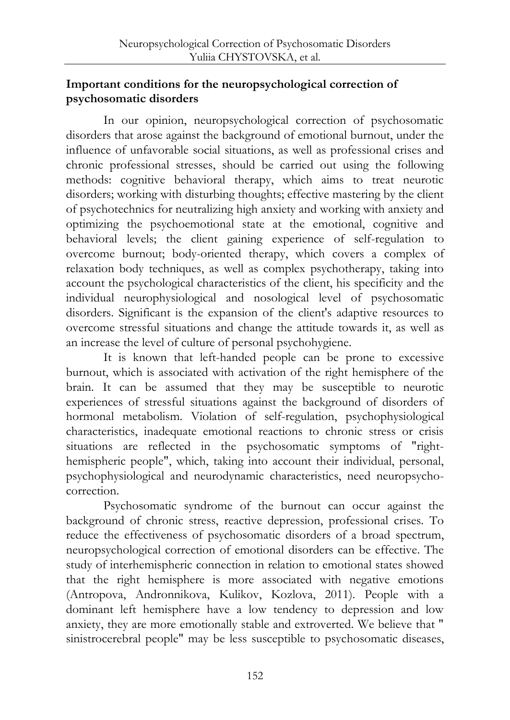## **Important conditions for the neuropsychological correction of psychosomatic disorders**

In our opinion, neuropsychological correction of psychosomatic disorders that arose against the background of emotional burnout, under the influence of unfavorable social situations, as well as professional crises and chronic professional stresses, should be carried out using the following methods: cognitive behavioral therapy, which aims to treat neurotic disorders; working with disturbing thoughts; effective mastering by the client of psychotechnics for neutralizing high anxiety and working with anxiety and optimizing the psychoemotional state at the emotional, cognitive and behavioral levels; the client gaining experience of self-regulation to overcome burnout; body-oriented therapy, which covers a complex of relaxation body techniques, as well as complex psychotherapy, taking into account the psychological characteristics of the client, his specificity and the individual neurophysiological and nosological level of psychosomatic disorders. Significant is the expansion of the client's adaptive resources to overcome stressful situations and change the attitude towards it, as well as an increase the level of culture of personal psychohygiene.

It is known that left-handed people can be prone to excessive burnout, which is associated with activation of the right hemisphere of the brain. It can be assumed that they may be susceptible to neurotic experiences of stressful situations against the background of disorders of hormonal metabolism. Violation of self-regulation, psychophysiological characteristics, inadequate emotional reactions to chronic stress or crisis situations are reflected in the psychosomatic symptoms of "righthemispheric people", which, taking into account their individual, personal, psychophysiological and neurodynamic characteristics, need neuropsychocorrection.

Psychosomatic syndrome of the burnout can occur against the background of chronic stress, reactive depression, professional crises. To reduce the effectiveness of psychosomatic disorders of a broad spectrum, neuropsychological correction of emotional disorders can be effective. The study of interhemispheric connection in relation to emotional states showed that the right hemisphere is more associated with negative emotions (Antropova, Andronnikova, Kulikov, Kozlova, 2011). People with a dominant left hemisphere have a low tendency to depression and low anxiety, they are more emotionally stable and extroverted. We believe that " sinistrocerebral people" may be less susceptible to psychosomatic diseases,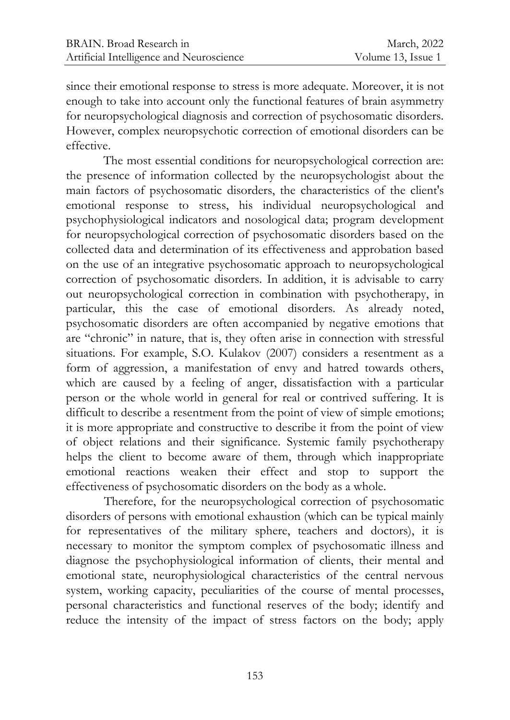since their emotional response to stress is more adequate. Moreover, it is not enough to take into account only the functional features of brain asymmetry for neuropsychological diagnosis and correction of psychosomatic disorders. However, complex neuropsychotic correction of emotional disorders can be effective.

The most essential conditions for neuropsychological correction are: the presence of information collected by the neuropsychologist about the main factors of psychosomatic disorders, the characteristics of the client's emotional response to stress, his individual neuropsychological and psychophysiological indicators and nosological data; program development for neuropsychological correction of psychosomatic disorders based on the collected data and determination of its effectiveness and approbation based on the use of an integrative psychosomatic approach to neuropsychological correction of psychosomatic disorders. In addition, it is advisable to carry out neuropsychological correction in combination with psychotherapy, in particular, this the case of emotional disorders. As already noted, psychosomatic disorders are often accompanied by negative emotions that are "chronic" in nature, that is, they often arise in connection with stressful situations. For example, S.O. Kulakov (2007) considers а resentment as a form of aggression, a manifestation of envy and hatred towards others, which are caused by a feeling of anger, dissatisfaction with a particular person or the whole world in general for real or contrived suffering. It is difficult to describe a resentment from the point of view of simple emotions; it is more appropriate and constructive to describe it from the point of view of object relations and their significance. Systemic family psychotherapy helps the client to become aware of them, through which inappropriate emotional reactions weaken their effect and stop to support the effectiveness of psychosomatic disorders on the body as a whole.

Therefore, for the neuropsychological correction of psychosomatic disorders of persons with emotional exhaustion (which can be typical mainly for representatives of the military sphere, teachers and doctors), it is necessary to monitor the symptom complex of psychosomatic illness and diagnose the psychophysiological information of clients, their mental and emotional state, neurophysiological characteristics of the central nervous system, working capacity, peculiarities of the course of mental processes, personal characteristics and functional reserves of the body; identify and reduce the intensity of the impact of stress factors on the body; apply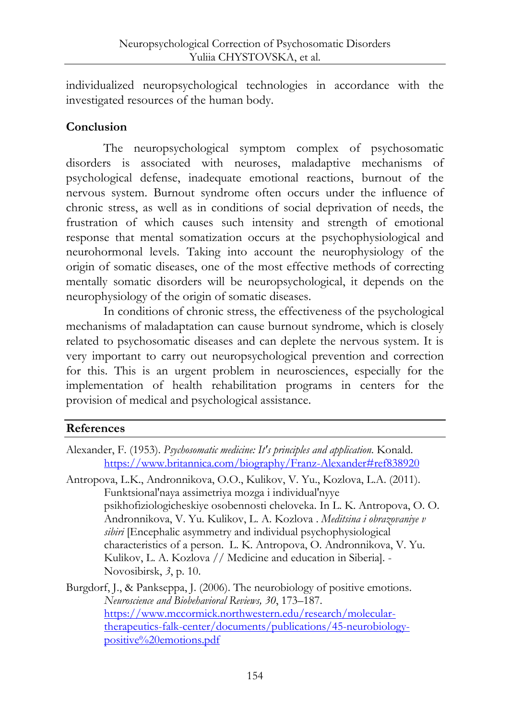individualized neuropsychological technologies in accordance with the investigated resources of the human body.

# **Conclusion**

The neuropsychological symptom complex of psychosomatic disorders is associated with neuroses, maladaptive mechanisms of psychological defense, inadequate emotional reactions, burnout of the nervous system. Burnout syndrome often occurs under the influence of chronic stress, as well as in conditions of social deprivation of needs, the frustration of which causes such intensity and strength of emotional response that mental somatization occurs at the psychophysiological and neurohormonal levels. Taking into account the neurophysiology of the origin of somatic diseases, one of the most effective methods of correcting mentally somatic disorders will be neuropsychological, it depends on the neurophysiology of the origin of somatic diseases.

In conditions of chronic stress, the effectiveness of the psychological mechanisms of maladaptation can cause burnout syndrome, which is closely related to psychosomatic diseases and can deplete the nervous system. It is very important to carry out neuropsychological prevention and correction for this. This is an urgent problem in neurosciences, especially for the implementation of health rehabilitation programs in centers for the provision of medical and psychological assistance.

# **References**

- Alexander, F. (1953). *Psychosomatic medicine: It's principles and application*. Konald. <https://www.britannica.com/biography/Franz-Alexander#ref838920>
- Antropova, L.K., Andronnikova, O.O., Kulikov, V. Yu., Kozlova, L.A. (2011). Funktsional'naya assimetriya mozga i individual'nyye psikhofiziologicheskiye osobennosti cheloveka. In L. K. Antropova, O. O. Andronnikova, V. Yu. Kulikov, L. A. Kozlova . *Meditsina i obrazovaniye v sibiri* [Encephalic asymmetry and individual psychophysiological characteristics of a person. L. K. Antropova, O. Andronnikova, V. Yu. Kulikov, L. A. Kozlova // Medicine and education in Siberia]. - Novosibirsk, *3*, p. 10.
- Burgdorf, J., & Pankseppa, J. (2006). The neurobiology of positive emotions. *Neuroscience and Biobehavioral Reviews, 30*, 173–187. [https://www.mccormick.northwestern.edu/research/molecular](https://www.mccormick.northwestern.edu/research/molecular-therapeutics-falk-center/documents/publications/45-neurobiology-positive%20emotions.pdf)[therapeutics-falk-center/documents/publications/45-neurobiology](https://www.mccormick.northwestern.edu/research/molecular-therapeutics-falk-center/documents/publications/45-neurobiology-positive%20emotions.pdf)[positive%20emotions.pdf](https://www.mccormick.northwestern.edu/research/molecular-therapeutics-falk-center/documents/publications/45-neurobiology-positive%20emotions.pdf)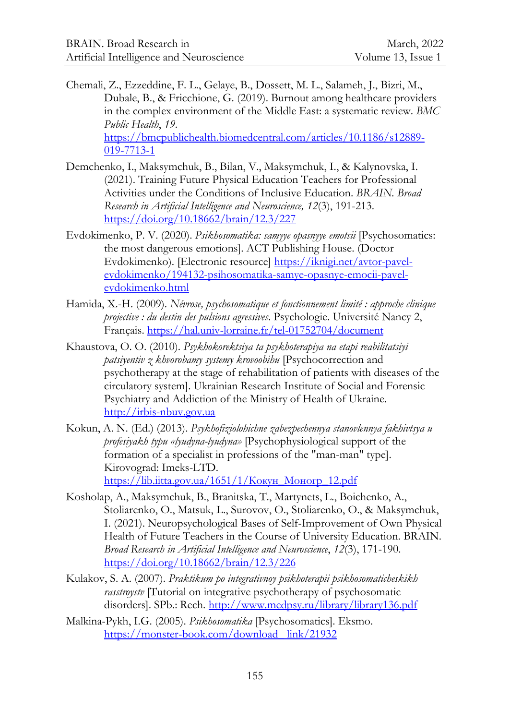- Chemali, Z., Ezzeddine, F. L., Gelaye, B., Dossett, M. L., Salameh, J., Bizri, M., Dubale, B., & Fricchione, G. (2019). Burnout among healthcare providers in the complex environment of the Middle East: a systematic review. *BMC Public Health*, *19*. [https://bmcpublichealth.biomedcentral.com/articles/10.1186/s12889-](https://bmcpublichealth.biomedcentral.com/articles/10.1186/s12889-019-7713-1) [019-7713-1](https://bmcpublichealth.biomedcentral.com/articles/10.1186/s12889-019-7713-1)
- Demchenko, I., Maksymchuk, B., Bilan, V., Maksymchuk, I., & Kalynovska, I. (2021). Training Future Physical Education Teachers for Professional Activities under the Conditions of Inclusive Education. *BRAIN. Broad Research in Artificial Intelligence and Neuroscience, 12*(3), 191-213. <https://doi.org/10.18662/brain/12.3/227>
- Evdokimenko, P. V. (2020). *Psikhosomatika: samyye opasnyye emotsii* [Psychosomatics: the most dangerous emotions]. ACT Publishing House. (Doctor Evdokimenko). [Electronic resource] [https://iknigi.net/avtor-pavel](https://iknigi.net/avtor-pavel-evdokimenko/194132-psihosomatika-samye-opasnye-emocii-pavel-evdokimenko.html)[evdokimenko/194132-psihosomatika-samye-opasnye-emocii-pavel](https://iknigi.net/avtor-pavel-evdokimenko/194132-psihosomatika-samye-opasnye-emocii-pavel-evdokimenko.html)[evdokimenko.html](https://iknigi.net/avtor-pavel-evdokimenko/194132-psihosomatika-samye-opasnye-emocii-pavel-evdokimenko.html)
- Hamida, X.-H. (2009). *Névrose, psychosomatique et fonctionnement limité : approche clinique projective : du destin des pulsions agressives*. Psychologie. Université Nancy 2, Français.<https://hal.univ-lorraine.fr/tel-01752704/document>
- Khaustova, O. O. (2010). *Psykhokorektsiya ta psykhoterapiya na etapi reabilitatsiyi patsiyentiv z khvorobamy systemy krovoobihu* [Psychocorrection and psychotherapy at the stage of rehabilitation of patients with diseases of the circulatory system]. Ukrainian Research Institute of Social and Forensic Psychiatry and Addiction of the Ministry of Health of Ukraine. [http://irbis-nbuv.gov.ua](http://irbis-nbuv.gov.ua/)
- Kokun, A. N. (Ed.) (2013). *Psykhofiziolohichne zabezpechennya stanovlennya fakhivtsya u profesiyakh typu «lyudyna-lyudyna»* [Psychophysiological support of the formation of a specialist in professions of the "man-man" type]. Kirovograd: Imeks-LTD. [https://lib.iitta.gov.ua/1651/1/Кокун\\_Моногр\\_12.pdf](https://lib.iitta.gov.ua/1651/1/Кокун_Моногр_12.pdf)
- Kosholap, A., Maksymchuk, B., Branitska, T., Martynets, L., Boichenko, A., Stoliarenko, O., Matsuk, L., Surovov, O., Stoliarenko, O., & Maksymchuk, I. (2021). Neuropsychological Bases of Self-Improvement of Own Physical Health of Future Teachers in the Course of University Education. BRAIN. *Broad Research in Artificial Intelligence and Neuroscience*, *12*(3), 171-190. <https://doi.org/10.18662/brain/12.3/226>
- Kulakov, S. A. (2007). *Praktikum po integrativnoy psikhoterapii psikhosomaticheskikh rasstroystv* [Tutorial on integrative psychotherapy of psychosomatic disorders]. SPb.: Rech.<http://www.medpsy.ru/library/library136.pdf>
- Malkina-Pykh, I.G. (2005). *Psikhosomatika* [Psychosomatics]. Eksmo. [https://monster-book.com/download\\_ link/21932](https://monster-book.com/download_%20link/21932)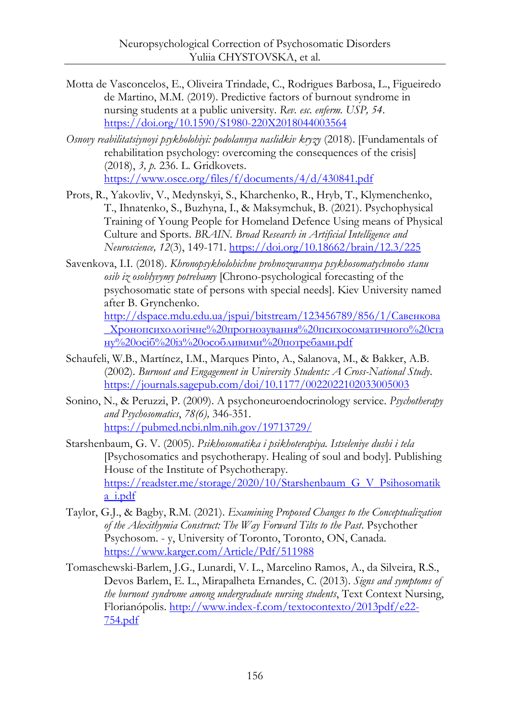- Motta de Vasconcelos, E., Oliveira Trindade, C., Rodrigues Barbosa, L., Figueiredo de Martino, M.M. (2019). Predictive factors of burnout syndrome in nursing students at a public university. *Rev. esc. enferm. USP, 54*. <https://doi.org/10.1590/S1980-220X2018044003564>
- *Osnovy reabilitatsiynoyi psykholohiyi: podolannya naslidkiv kryzy* (2018). [Fundamentals of rehabilitation psychology: overcoming the consequences of the crisis] (2018), *3, p.* 236. L. Gridkovets. <https://www.osce.org/files/f/documents/4/d/430841.pdf>
- Prots, R., Yakovliv, V., Medynskyi, S., Kharchenko, R., Hryb, T., Klymenchenko, T., Ihnatenko, S., Buzhyna, I., & Maksymchuk, B. (2021). Psychophysical Training of Young People for Homeland Defence Using means of Physical Culture and Sports. *BRAIN. Broad Research in Artificial Intelligence and Neuroscience, 12*(3), 149-171[. https://doi.org/10.18662/brain/12.3/225](https://doi.org/10.18662/brain/12.3/225)
- Savenkova, I.I. (2018). *Khronopsykholohichne prohnozuvannya psykhosomatychnoho stanu osib iz osoblyvymy potrebamy* [Chrono-psychological forecasting of the psychosomatic state of persons with special needs]. Kiev University named after B. Grynchenko.

[http://dspace.mdu.edu.ua/jspui/bitstream/123456789/856/1/Савенкова](http://dspace.mdu.edu.ua/jspui/bitstream/123456789/856/1/Савенкова_Хронопсихологічне%20прогнозування%20психосоматичного%20стану%20осіб%20із%20особливими%20потребами.pdf) [\\_Хронопсихологічне%20прогнозування%20психосоматичного%20ста](http://dspace.mdu.edu.ua/jspui/bitstream/123456789/856/1/Савенкова_Хронопсихологічне%20прогнозування%20психосоматичного%20стану%20осіб%20із%20особливими%20потребами.pdf) [ну%20осіб%20із%20особливими%20потребами.pdf](http://dspace.mdu.edu.ua/jspui/bitstream/123456789/856/1/Савенкова_Хронопсихологічне%20прогнозування%20психосоматичного%20стану%20осіб%20із%20особливими%20потребами.pdf)

- Schaufeli, W.B., Martínez, I.M., Marques Pinto, A., Salanova, M., & Bakker, A.B. (2002). *Burnout and Engagement in University Students: A Cross-National Study*. <https://journals.sagepub.com/doi/10.1177/0022022102033005003>
- Sonino, N., & Peruzzi, P. (2009). A psychoneuroendocrinology service. *Psychotherapy and Psychosomatics*, *78(6),* 346-351. <https://pubmed.ncbi.nlm.nih.gov/19713729/>
- Starshenbaum, G. V. (2005). *Psikhosomatika i psikhoterapiya. Istseleniye dushi i tela* [Psychosomatics and psychotherapy. Healing of soul and body]. Publishing House of the Institute of Psychotherapy. [https://readster.me/storage/2020/10/Starshenbaum\\_G\\_V\\_Psihosomatik](https://readster.me/storage/2020/10/Starshenbaum_G_V_Psihosomatika_i.pdf) [a\\_i.pdf](https://readster.me/storage/2020/10/Starshenbaum_G_V_Psihosomatika_i.pdf)
- Taylor, G.J., & Bagby, R.M. (2021). *Examining Proposed Changes to the Conceptualization of the Alexithymia Construct: The Way Forward Tilts to the Past*. Psychother Psychosom. - y, University of Toronto, Toronto, ON, Canada. <https://www.karger.com/Article/Pdf/511988>
- Tomaschewski-Barlem, J.G., Lunardi, V. L., Marcelino Ramos, A., da Silveira, R.S., Devos Barlem, E. L., Mirapalheta Ernandes, C. (2013). *Signs and symptoms of the burnout syndrome among undergraduate nursing students*, Text Context Nursing, Florianópolis. [http://www.index-f.com/textocontexto/2013pdf/e22-](http://www.index-f.com/textocontexto/2013pdf/e22-754.pdf) [754.pdf](http://www.index-f.com/textocontexto/2013pdf/e22-754.pdf)